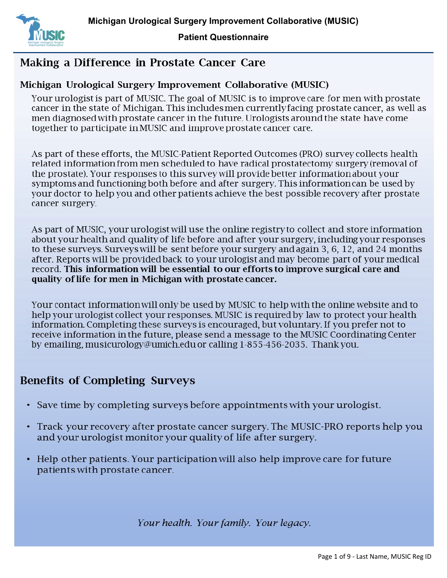

## Making a Difference in Prostate Cancer Care

## Michigan Urological Surgery Improvement Collaborative (MUSIC)

Your urologist is part of MUSIC. The goal of MUSIC is to improve care for men with prostate cancer in the state of Michigan. This includes men currently facing prostate cancer, as well as men diagnosed with prostate cancer in the future. Urologists around the state have come together to participate in MUSIC and improve prostate cancer care.

As part of these efforts, the MUSIC-Patient Reported Outcomes (PRO) survey collects health related information from men scheduled to have radical prostatectomy surgery (removal of the prostate). Your responses to this survey will provide better information about your symptoms and functioning both before and after surgery. This information can be used by your doctor to help you and other patients achieve the best possible recovery after prostate cancer surgery.

As part of MUSIC, your urologist will use the online registry to collect and store information about your health and quality of life before and after your surgery, including your responses to these surveys. Surveys will be sent before your surgery and again 3, 6, 12, and 24 months after. Reports will be provided back to your urologist and may become part of your medical record. This information will be essential to our efforts to improve surgical care and quality of life for men in Michigan with prostate cancer.

Your contact information will only be used by MUSIC to help with the online website and to help your urologist collect your responses. MUSIC is required by law to protect your health information. Completing these surveys is encouraged, but voluntary. If you prefer not to receive information in the future, please send a message to the MUSIC Coordinating Center by emailing, musicurology@umich.edu or calling 1-855-456-2035. Thank you.

## **Benefits of Completing Surveys**

- Save time by completing surveys before appointments with your urologist.
- Track your recovery after prostate cancer surgery. The MUSIC-PRO reports help you and your urologist monitor your quality of life after surgery.
- Help other patients. Your participation will also help improve care for future patients with prostate cancer.

Your health. Your family. Your legacy.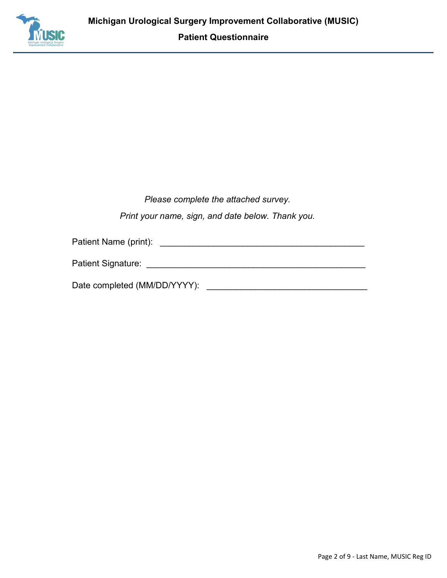

*Please complete the attached survey.* 

*Print your name, sign, and date below. Thank you.* 

Patient Name (print): \_\_\_\_\_\_\_\_\_\_\_\_\_\_\_\_\_\_\_\_\_\_\_\_\_\_\_\_\_\_\_\_\_\_\_\_\_\_\_\_\_\_

Patient Signature: \_\_\_\_\_\_\_\_\_\_\_\_\_\_\_\_\_\_\_\_\_\_\_\_\_\_\_\_\_\_\_\_\_\_\_\_\_\_\_\_\_\_\_\_\_

Date completed (MM/DD/YYYY):  $\Box$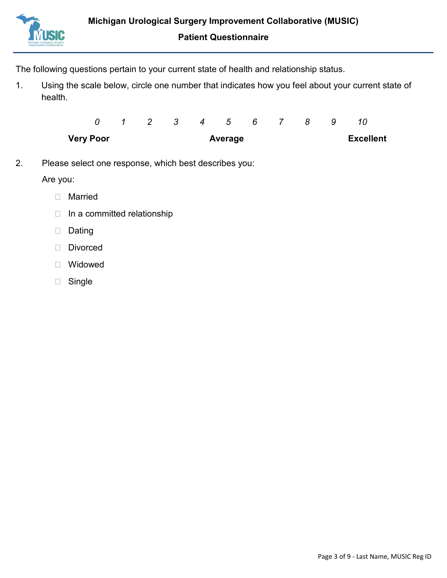

The following questions pertain to your current state of health and relationship status.

1. Using the scale below, circle one number that indicates how you feel about your current state of health.

| <b>Very Poor</b> |  | Average |  |                   |  |  |  | <b>Excellent</b> |  |  |  |
|------------------|--|---------|--|-------------------|--|--|--|------------------|--|--|--|
|                  |  |         |  | 1 2 3 4 5 6 7 8 9 |  |  |  |                  |  |  |  |

2. Please select one response, which best describes you:

Are you:

- Married
- $\Box$  In a committed relationship
- Dating
- Divorced
- Widowed
- □ Single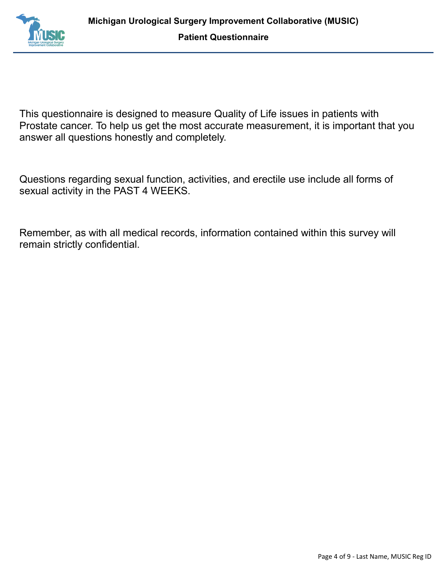

This questionnaire is designed to measure Quality of Life issues in patients with Prostate cancer. To help us get the most accurate measurement, it is important that you answer all questions honestly and completely.

Questions regarding sexual function, activities, and erectile use include all forms of sexual activity in the PAST 4 WEEKS.

Remember, as with all medical records, information contained within this survey will remain strictly confidential.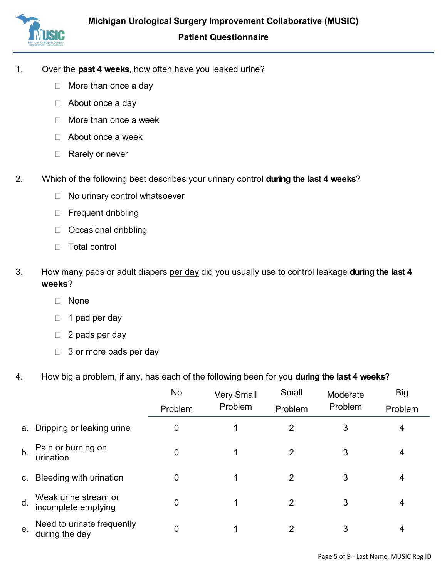

- 1. Over the **past 4 weeks**, how often have you leaked urine?
	- □ More than once a day
	- □ About once a day
	- $\Box$  More than once a week
	- □ About once a week
	- □ Rarely or never
- 2. Which of the following best describes your urinary control **during the last 4 weeks**?
	- □ No urinary control whatsoever
	- □ Frequent dribbling
	- D Occasional dribbling
	- Total control
- 3. How many pads or adult diapers per day did you usually use to control leakage **during the last 4 weeks**?
	- None
	- $\Box$  1 pad per day
	- $\Box$  2 pads per day
	- $\Box$  3 or more pads per day
- 4. How big a problem, if any, has each of the following been for you **during the last 4 weeks**?

|                |                                              | No<br>Problem | <b>Very Small</b><br>Problem | Small<br>Problem | Moderate<br>Problem | <b>Big</b><br>Problem |
|----------------|----------------------------------------------|---------------|------------------------------|------------------|---------------------|-----------------------|
| а.             | Dripping or leaking urine                    | 0             |                              | 2                | 3                   | 4                     |
| b <sub>1</sub> | Pain or burning on<br>urination              | 0             |                              | 2                | 3                   | 4                     |
| $\mathsf{C}$ . | Bleeding with urination                      | 0             |                              | 2                | 3                   | 4                     |
| d.             | Weak urine stream or<br>incomplete emptying  | 0             |                              | 2                | 3                   | 4                     |
| e.             | Need to urinate frequently<br>during the day | 0             |                              | 2                | 3                   | 4                     |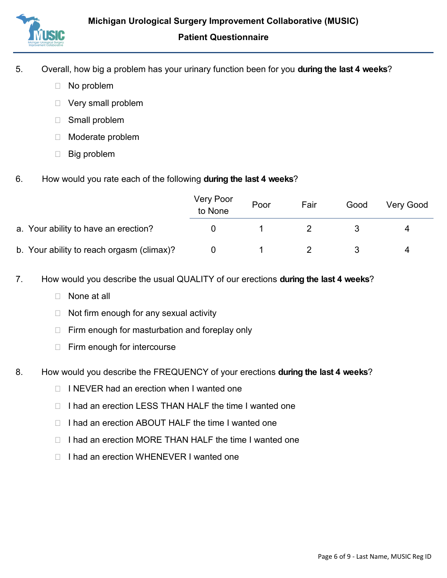

- 5. Overall, how big a problem has your urinary function been for you **during the last 4 weeks**?
	- □ No problem
	- □ Very small problem
	- Small problem
	- Moderate problem
	- **Big problem**
- 6. How would you rate each of the following **during the last 4 weeks**?

|                                           | Very Poor<br>to None | Poor | Fair | Good | Very Good |
|-------------------------------------------|----------------------|------|------|------|-----------|
| a. Your ability to have an erection?      |                      |      |      |      |           |
| b. Your ability to reach orgasm (climax)? |                      |      |      |      | 4         |

- 7. How would you describe the usual QUALITY of our erections **during the last 4 weeks**?
	- None at all
	- $\Box$  Not firm enough for any sexual activity
	- $\Box$  Firm enough for masturbation and foreplay only
	- $\Box$  Firm enough for intercourse
- 8. How would you describe the FREQUENCY of your erections **during the last 4 weeks**?
	- $\Box$  I NEVER had an erection when I wanted one
	- □ I had an erection LESS THAN HALF the time I wanted one
	- $\Box$  I had an erection ABOUT HALF the time I wanted one
	- $\Box$  I had an erection MORE THAN HALF the time I wanted one
	- □ I had an erection WHENEVER I wanted one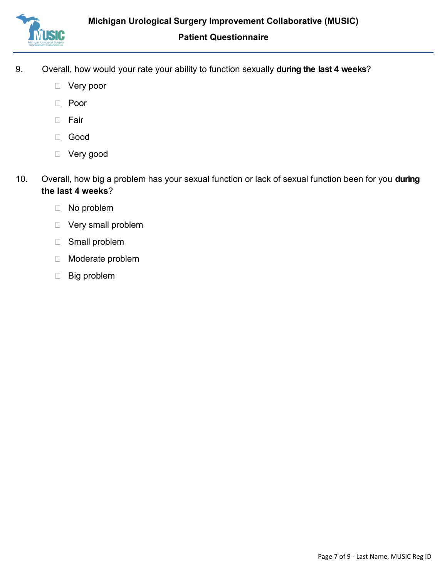

- 9. Overall, how would your rate your ability to function sexually **during the last 4 weeks**?
	- Very poor
	- Poor
	- D Fair
	- Good
	- Very good
- 10. Overall, how big a problem has your sexual function or lack of sexual function been for you **during the last 4 weeks**?
	- No problem
	- Very small problem
	- Small problem
	- Moderate problem
	- Big problem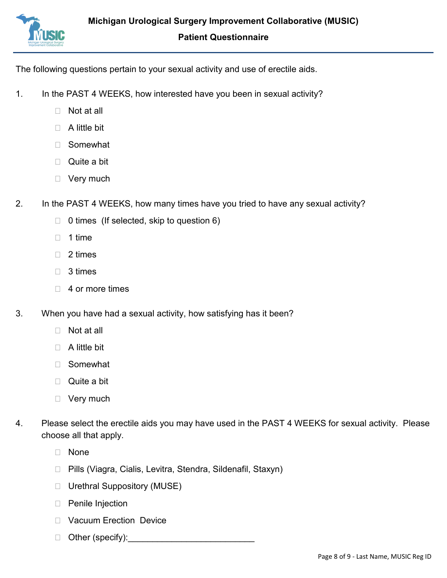

The following questions pertain to your sexual activity and use of erectile aids.

- 1. In the PAST 4 WEEKS, how interested have you been in sexual activity?
	- Not at all
	- $\Box$  A little bit
	- Somewhat
	- □ Quite a bit
	- □ Very much
- 2. In the PAST 4 WEEKS, how many times have you tried to have any sexual activity?
	- $\Box$  0 times (If selected, skip to question 6)
	- $\Box$  1 time
	- $\Box$  2 times
	- □ 3 times
	- $\Box$  4 or more times
- 3. When you have had a sexual activity, how satisfying has it been?
	- □ Not at all
	- $\Box$  A little bit
	- Somewhat
	- Quite a bit
	- □ Very much
- 4. Please select the erectile aids you may have used in the PAST 4 WEEKS for sexual activity. Please choose all that apply.
	- None
	- □ Pills (Viagra, Cialis, Levitra, Stendra, Sildenafil, Staxyn)
	- □ Urethral Suppository (MUSE)
	- D Penile Injection
	- □ Vacuum Erection Device
	- $\Box$  Other (specify):